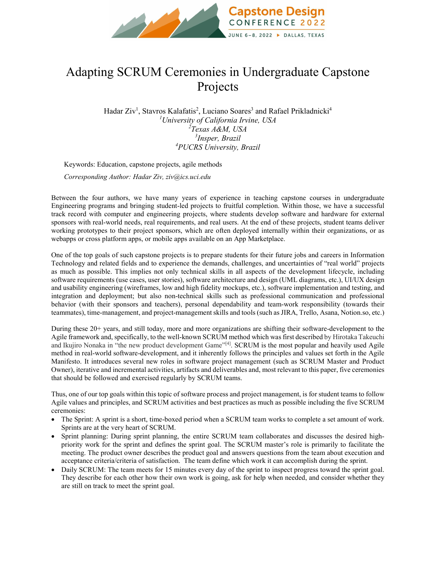

## Adapting SCRUM Ceremonies in Undergraduate Capstone Projects

Hadar Ziv<sup>1</sup>, Stavros Kalafatis<sup>2</sup>, Luciano Soares<sup>3</sup> and Rafael Prikladnicki<sup>4</sup> *University of California Irvine, USA Texas A&M, USA Insper, Brazil PUCRS University, Brazil*

Keywords: Education, capstone projects, agile methods

*Corresponding Author: Hadar Ziv, ziv@ics.uci.edu* 

Between the four authors, we have many years of experience in teaching capstone courses in undergraduate Engineering programs and bringing student-led projects to fruitful completion. Within those, we have a successful track record with computer and engineering projects, where students develop software and hardware for external sponsors with real-world needs, real requirements, and real users. At the end of these projects, student teams deliver working prototypes to their project sponsors, which are often deployed internally within their organizations, or as webapps or cross platform apps, or mobile apps available on an App Marketplace.

One of the top goals of such capstone projects is to prepare students for their future jobs and careers in Information Technology and related fields and to experience the demands, challenges, and uncertainties of "real world" projects as much as possible. This implies not only technical skills in all aspects of the development lifecycle, including software requirements (use cases, user stories), software architecture and design (UML diagrams, etc.), UI/UX design and usability engineering (wireframes, low and high fidelity mockups, etc.), software implementation and testing, and integration and deployment; but also non-technical skills such as professional communication and professional behavior (with their sponsors and teachers), personal dependability and team-work responsibility (towards their teammates), time-management, and project-management skills and tools (such as JIRA, Trello, Asana, Notion.so, etc.)

During these 20+ years, and still today, more and more organizations are shifting their software-development to the Agile framework and, specifically, to the well-known SCRUM method which was first described by [Hirotaka Takeuchi](https://hbr.org/search?term=hirotaka%20takeuchi) and [Ikujiro Nonaka](https://hbr.org/search?term=ikujiro%20nonaka) in "the new product development Game"<sup>[4]</sup>. SCRUM is the most popular and heavily used Agile method in real-world software-development, and it inherently follows the principles and values set forth in the Agile Manifesto. It introduces several new roles in software project management (such as SCRUM Master and Product Owner), iterative and incremental activities, artifacts and deliverables and, most relevant to this paper, five ceremonies that should be followed and exercised regularly by SCRUM teams.

Thus, one of our top goals within this topic of software process and project management, is for student teams to follow Agile values and principles, and SCRUM activities and best practices as much as possible including the five SCRUM ceremonies:

- The Sprint: A sprint is a short, time-boxed period when a SCRUM team works to complete a set amount of work. Sprints are at the very heart of SCRUM.
- Sprint planning: During sprint planning, the entire SCRUM team collaborates and discusses the desired highpriority work for the sprint and defines the sprint goal. The SCRUM master's role is primarily to facilitate the meeting. The product owner describes the product goal and answers questions from the team about execution and acceptance criteria/criteria of satisfaction. The team define which work it can accomplish during the sprint.
- Daily SCRUM: The team meets for 15 minutes every day of the sprint to inspect progress toward the sprint goal. They describe for each other how their own work is going, ask for help when needed, and consider whether they are still on track to meet the sprint goal.